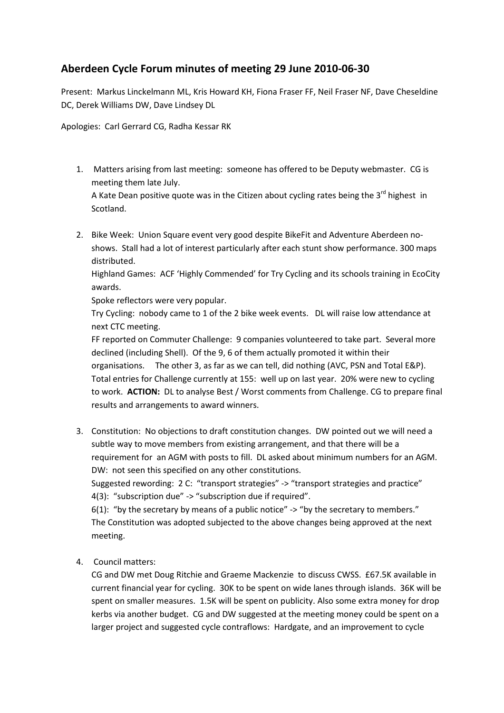## Aberdeen Cycle Forum minutes of meeting 29 June 2010-06-30

Present: Markus Linckelmann ML, Kris Howard KH, Fiona Fraser FF, Neil Fraser NF, Dave Cheseldine DC, Derek Williams DW, Dave Lindsey DL

Apologies: Carl Gerrard CG, Radha Kessar RK

1. Matters arising from last meeting: someone has offered to be Deputy webmaster. CG is meeting them late July.

A Kate Dean positive quote was in the Citizen about cycling rates being the  $3^{rd}$  highest in Scotland.

2. Bike Week: Union Square event very good despite BikeFit and Adventure Aberdeen noshows. Stall had a lot of interest particularly after each stunt show performance. 300 maps distributed.

Highland Games: ACF 'Highly Commended' for Try Cycling and its schools training in EcoCity awards.

Spoke reflectors were very popular.

Try Cycling: nobody came to 1 of the 2 bike week events. DL will raise low attendance at next CTC meeting.

FF reported on Commuter Challenge: 9 companies volunteered to take part. Several more declined (including Shell). Of the 9, 6 of them actually promoted it within their organisations. The other 3, as far as we can tell, did nothing (AVC, PSN and Total E&P). Total entries for Challenge currently at 155: well up on last year. 20% were new to cycling to work. **ACTION:** DL to analyse Best / Worst comments from Challenge. CG to prepare final results and arrangements to award winners.

3. Constitution: No objections to draft constitution changes. DW pointed out we will need a subtle way to move members from existing arrangement, and that there will be a requirement for an AGM with posts to fill. DL asked about minimum numbers for an AGM. DW: not seen this specified on any other constitutions.

Suggested rewording: 2 C: "transport strategies" -> "transport strategies and practice" 4(3): "subscription due" -> "subscription due if required".

6(1): "by the secretary by means of a public notice" -> "by the secretary to members." The Constitution was adopted subjected to the above changes being approved at the next meeting.

4. Council matters:

CG and DW met Doug Ritchie and Graeme Mackenzie to discuss CWSS. £67.5K available in current financial year for cycling. 30K to be spent on wide lanes through islands. 36K will be spent on smaller measures. 1.5K will be spent on publicity. Also some extra money for drop kerbs via another budget. CG and DW suggested at the meeting money could be spent on a larger project and suggested cycle contraflows: Hardgate, and an improvement to cycle